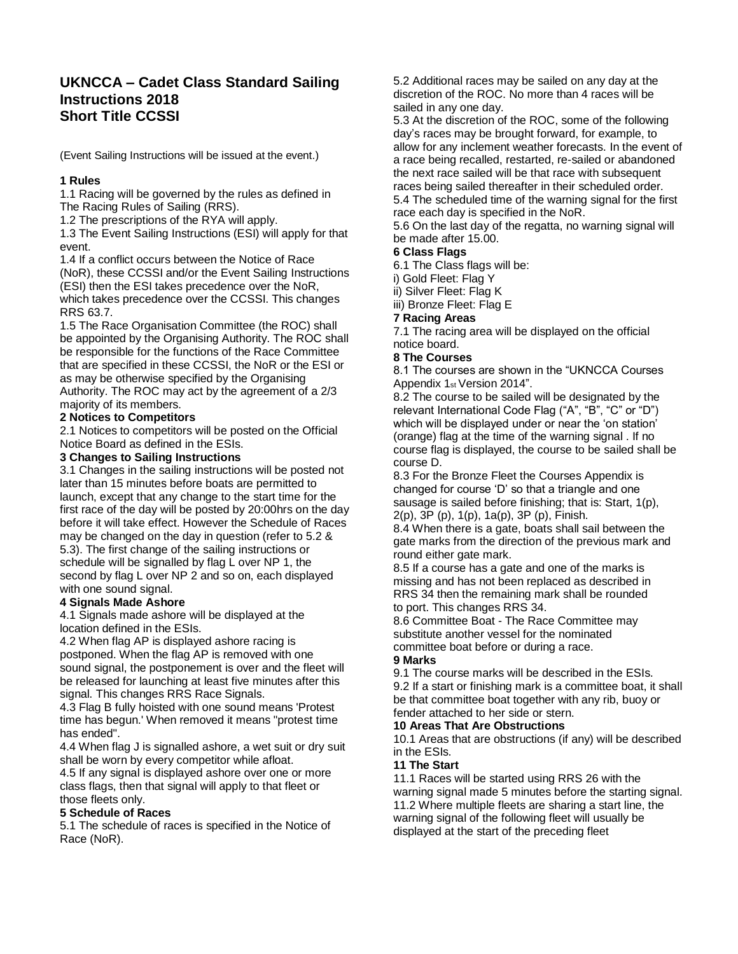# **UKNCCA – Cadet Class Standard Sailing Instructions 2018 Short Title CCSSI**

(Event Sailing Instructions will be issued at the event.)

### **1 Rules**

1.1 Racing will be governed by the rules as defined in The Racing Rules of Sailing (RRS).

1.2 The prescriptions of the RYA will apply.

1.3 The Event Sailing Instructions (ESI) will apply for that event.

1.4 If a conflict occurs between the Notice of Race (NoR), these CCSSI and/or the Event Sailing Instructions (ESI) then the ESI takes precedence over the NoR, which takes precedence over the CCSSI. This changes RRS 63.7.

1.5 The Race Organisation Committee (the ROC) shall be appointed by the Organising Authority. The ROC shall be responsible for the functions of the Race Committee that are specified in these CCSSI, the NoR or the ESI or as may be otherwise specified by the Organising Authority. The ROC may act by the agreement of a 2/3 majority of its members.

### **2 Notices to Competitors**

2.1 Notices to competitors will be posted on the Official Notice Board as defined in the ESIs.

### **3 Changes to Sailing Instructions**

3.1 Changes in the sailing instructions will be posted not later than 15 minutes before boats are permitted to launch, except that any change to the start time for the first race of the day will be posted by 20:00hrs on the day before it will take effect. However the Schedule of Races may be changed on the day in question (refer to 5.2 & 5.3). The first change of the sailing instructions or schedule will be signalled by flag L over NP 1, the second by flag L over NP 2 and so on, each displayed with one sound signal.

### **4 Signals Made Ashore**

4.1 Signals made ashore will be displayed at the location defined in the ESIs.

4.2 When flag AP is displayed ashore racing is postponed. When the flag AP is removed with one sound signal, the postponement is over and the fleet will be released for launching at least five minutes after this signal. This changes RRS Race Signals.

4.3 Flag B fully hoisted with one sound means 'Protest time has begun.' When removed it means "protest time has ended".

4.4 When flag J is signalled ashore, a wet suit or dry suit shall be worn by every competitor while afloat.

4.5 If any signal is displayed ashore over one or more class flags, then that signal will apply to that fleet or those fleets only.

### **5 Schedule of Races**

5.1 The schedule of races is specified in the Notice of Race (NoR).

5.2 Additional races may be sailed on any day at the discretion of the ROC. No more than 4 races will be sailed in any one day.

5.3 At the discretion of the ROC, some of the following day's races may be brought forward, for example, to allow for any inclement weather forecasts. In the event of a race being recalled, restarted, re-sailed or abandoned the next race sailed will be that race with subsequent races being sailed thereafter in their scheduled order. 5.4 The scheduled time of the warning signal for the first race each day is specified in the NoR.

5.6 On the last day of the regatta, no warning signal will be made after 15.00.

## **6 Class Flags**

6.1 The Class flags will be:

i) Gold Fleet: Flag Y

ii) Silver Fleet: Flag K

iii) Bronze Fleet: Flag E

### **7 Racing Areas**

7.1 The racing area will be displayed on the official notice board.

### **8 The Courses**

8.1 The courses are shown in the "UKNCCA Courses Appendix 1st Version 2014".

8.2 The course to be sailed will be designated by the relevant International Code Flag ("A", "B", "C" or "D") which will be displayed under or near the 'on station' (orange) flag at the time of the warning signal . If no course flag is displayed, the course to be sailed shall be course D.

8.3 For the Bronze Fleet the Courses Appendix is changed for course 'D' so that a triangle and one sausage is sailed before finishing; that is: Start, 1(p), 2(p), 3P (p), 1(p), 1a(p), 3P (p), Finish.

8.4 When there is a gate, boats shall sail between the gate marks from the direction of the previous mark and round either gate mark.

8.5 If a course has a gate and one of the marks is missing and has not been replaced as described in RRS 34 then the remaining mark shall be rounded to port. This changes RRS 34.

8.6 Committee Boat - The Race Committee may substitute another vessel for the nominated committee boat before or during a race.

### **9 Marks**

9.1 The course marks will be described in the ESIs. 9.2 If a start or finishing mark is a committee boat, it shall be that committee boat together with any rib, buoy or fender attached to her side or stern.

### **10 Areas That Are Obstructions**

10.1 Areas that are obstructions (if any) will be described in the ESIs.

### **11 The Start**

11.1 Races will be started using RRS 26 with the warning signal made 5 minutes before the starting signal. 11.2 Where multiple fleets are sharing a start line, the warning signal of the following fleet will usually be displayed at the start of the preceding fleet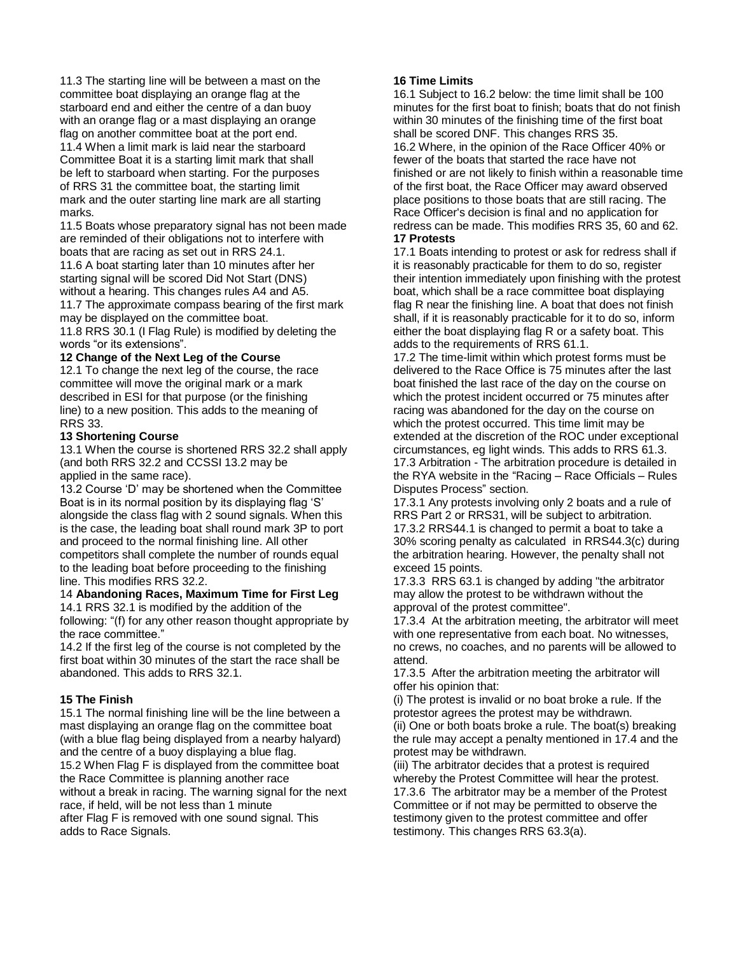11.3 The starting line will be between a mast on the committee boat displaying an orange flag at the starboard end and either the centre of a dan buoy with an orange flag or a mast displaying an orange flag on another committee boat at the port end. 11.4 When a limit mark is laid near the starboard Committee Boat it is a starting limit mark that shall be left to starboard when starting. For the purposes of RRS 31 the committee boat, the starting limit mark and the outer starting line mark are all starting marks.

11.5 Boats whose preparatory signal has not been made are reminded of their obligations not to interfere with boats that are racing as set out in RRS 24.1.

11.6 A boat starting later than 10 minutes after her starting signal will be scored Did Not Start (DNS) without a hearing. This changes rules A4 and A5. 11.7 The approximate compass bearing of the first mark may be displayed on the committee boat.

11.8 RRS 30.1 (I Flag Rule) is modified by deleting the words "or its extensions".

#### **12 Change of the Next Leg of the Course**

12.1 To change the next leg of the course, the race committee will move the original mark or a mark described in ESI for that purpose (or the finishing line) to a new position. This adds to the meaning of RRS 33.

#### **13 Shortening Course**

13.1 When the course is shortened RRS 32.2 shall apply (and both RRS 32.2 and CCSSI 13.2 may be applied in the same race).

13.2 Course 'D' may be shortened when the Committee Boat is in its normal position by its displaying flag 'S' alongside the class flag with 2 sound signals. When this is the case, the leading boat shall round mark 3P to port and proceed to the normal finishing line. All other competitors shall complete the number of rounds equal to the leading boat before proceeding to the finishing line. This modifies RRS 32.2.

14 **Abandoning Races, Maximum Time for First Leg** 14.1 RRS 32.1 is modified by the addition of the following: "(f) for any other reason thought appropriate by the race committee."

14.2 If the first leg of the course is not completed by the first boat within 30 minutes of the start the race shall be abandoned. This adds to RRS 32.1.

### **15 The Finish**

15.1 The normal finishing line will be the line between a mast displaying an orange flag on the committee boat (with a blue flag being displayed from a nearby halyard) and the centre of a buoy displaying a blue flag. 15.2 When Flag F is displayed from the committee boat the Race Committee is planning another race without a break in racing. The warning signal for the next race, if held, will be not less than 1 minute after Flag F is removed with one sound signal. This adds to Race Signals.

### **16 Time Limits**

16.1 Subject to 16.2 below: the time limit shall be 100 minutes for the first boat to finish; boats that do not finish within 30 minutes of the finishing time of the first boat shall be scored DNF. This changes RRS 35. 16.2 Where, in the opinion of the Race Officer 40% or fewer of the boats that started the race have not finished or are not likely to finish within a reasonable time of the first boat, the Race Officer may award observed place positions to those boats that are still racing. The Race Officer's decision is final and no application for redress can be made. This modifies RRS 35, 60 and 62. **17 Protests**

17.1 Boats intending to protest or ask for redress shall if it is reasonably practicable for them to do so, register their intention immediately upon finishing with the protest boat, which shall be a race committee boat displaying flag R near the finishing line. A boat that does not finish shall, if it is reasonably practicable for it to do so, inform either the boat displaying flag R or a safety boat. This adds to the requirements of RRS 61.1.

17.2 The time-limit within which protest forms must be delivered to the Race Office is 75 minutes after the last boat finished the last race of the day on the course on which the protest incident occurred or 75 minutes after racing was abandoned for the day on the course on which the protest occurred. This time limit may be extended at the discretion of the ROC under exceptional circumstances, eg light winds. This adds to RRS 61.3. 17.3 Arbitration - The arbitration procedure is detailed in the RYA website in the "Racing – Race Officials – Rules Disputes Process" section.

17.3.1 Any protests involving only 2 boats and a rule of RRS Part 2 or RRS31, will be subject to arbitration. 17.3.2 RRS44.1 is changed to permit a boat to take a 30% scoring penalty as calculated in RRS44.3(c) during the arbitration hearing. However, the penalty shall not exceed 15 points.

17.3.3 RRS 63.1 is changed by adding "the arbitrator may allow the protest to be withdrawn without the approval of the protest committee".

17.3.4 At the arbitration meeting, the arbitrator will meet with one representative from each boat. No witnesses, no crews, no coaches, and no parents will be allowed to attend.

17.3.5 After the arbitration meeting the arbitrator will offer his opinion that:

(i) The protest is invalid or no boat broke a rule. If the protestor agrees the protest may be withdrawn. (ii) One or both boats broke a rule. The boat(s) breaking the rule may accept a penalty mentioned in 17.4 and the protest may be withdrawn.

(iii) The arbitrator decides that a protest is required whereby the Protest Committee will hear the protest. 17.3.6 The arbitrator may be a member of the Protest Committee or if not may be permitted to observe the testimony given to the protest committee and offer testimony. This changes RRS 63.3(a).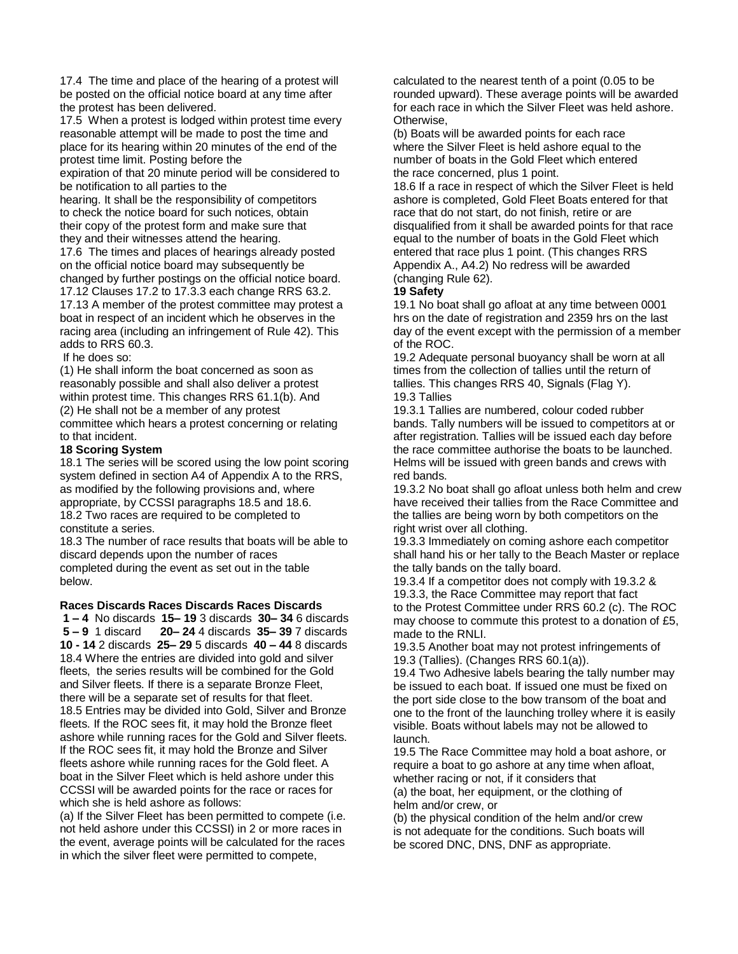17.4 The time and place of the hearing of a protest will be posted on the official notice board at any time after the protest has been delivered.

17.5 When a protest is lodged within protest time every reasonable attempt will be made to post the time and place for its hearing within 20 minutes of the end of the protest time limit. Posting before the

expiration of that 20 minute period will be considered to be notification to all parties to the

hearing. It shall be the responsibility of competitors to check the notice board for such notices, obtain their copy of the protest form and make sure that they and their witnesses attend the hearing.

17.6 The times and places of hearings already posted on the official notice board may subsequently be changed by further postings on the official notice board. 17.12 Clauses 17.2 to 17.3.3 each change RRS 63.2. 17.13 A member of the protest committee may protest a

boat in respect of an incident which he observes in the racing area (including an infringement of Rule 42). This adds to RRS 60.3.

If he does so:

(1) He shall inform the boat concerned as soon as reasonably possible and shall also deliver a protest within protest time. This changes RRS 61.1(b). And (2) He shall not be a member of any protest committee which hears a protest concerning or relating to that incident.

### **18 Scoring System**

18.1 The series will be scored using the low point scoring system defined in section A4 of Appendix A to the RRS, as modified by the following provisions and, where appropriate, by CCSSI paragraphs 18.5 and 18.6. 18.2 Two races are required to be completed to constitute a series.

18.3 The number of race results that boats will be able to discard depends upon the number of races completed during the event as set out in the table below.

#### **Races Discards Races Discards Races Discards**

**1 – 4** No discards **15– 19** 3 discards **30– 34** 6 discards **5 – 9** 1 discard **20– 24** 4 discards **35– 39** 7 discards **10 - 14** 2 discards **25– 29** 5 discards **40 – 44** 8 discards 18.4 Where the entries are divided into gold and silver fleets, the series results will be combined for the Gold and Silver fleets. If there is a separate Bronze Fleet, there will be a separate set of results for that fleet. 18.5 Entries may be divided into Gold, Silver and Bronze fleets. If the ROC sees fit, it may hold the Bronze fleet ashore while running races for the Gold and Silver fleets. If the ROC sees fit, it may hold the Bronze and Silver fleets ashore while running races for the Gold fleet. A boat in the Silver Fleet which is held ashore under this CCSSI will be awarded points for the race or races for which she is held ashore as follows:

(a) If the Silver Fleet has been permitted to compete (i.e. not held ashore under this CCSSI) in 2 or more races in the event, average points will be calculated for the races in which the silver fleet were permitted to compete,

calculated to the nearest tenth of a point (0.05 to be rounded upward). These average points will be awarded for each race in which the Silver Fleet was held ashore. Otherwise,

(b) Boats will be awarded points for each race where the Silver Fleet is held ashore equal to the number of boats in the Gold Fleet which entered the race concerned, plus 1 point.

18.6 If a race in respect of which the Silver Fleet is held ashore is completed, Gold Fleet Boats entered for that race that do not start, do not finish, retire or are disqualified from it shall be awarded points for that race equal to the number of boats in the Gold Fleet which entered that race plus 1 point. (This changes RRS Appendix A., A4.2) No redress will be awarded (changing Rule 62).

#### **19 Safety**

19.1 No boat shall go afloat at any time between 0001 hrs on the date of registration and 2359 hrs on the last day of the event except with the permission of a member of the ROC.

19.2 Adequate personal buoyancy shall be worn at all times from the collection of tallies until the return of tallies. This changes RRS 40, Signals (Flag Y). 19.3 Tallies

19.3.1 Tallies are numbered, colour coded rubber bands. Tally numbers will be issued to competitors at or after registration. Tallies will be issued each day before the race committee authorise the boats to be launched. Helms will be issued with green bands and crews with red bands.

19.3.2 No boat shall go afloat unless both helm and crew have received their tallies from the Race Committee and the tallies are being worn by both competitors on the right wrist over all clothing.

19.3.3 Immediately on coming ashore each competitor shall hand his or her tally to the Beach Master or replace the tally bands on the tally board.

19.3.4 If a competitor does not comply with 19.3.2 & 19.3.3, the Race Committee may report that fact to the Protest Committee under RRS 60.2 (c). The ROC may choose to commute this protest to a donation of £5, made to the RNLI.

19.3.5 Another boat may not protest infringements of 19.3 (Tallies). (Changes RRS 60.1(a)).

19.4 Two Adhesive labels bearing the tally number may be issued to each boat. If issued one must be fixed on the port side close to the bow transom of the boat and one to the front of the launching trolley where it is easily visible. Boats without labels may not be allowed to launch.

19.5 The Race Committee may hold a boat ashore, or require a boat to go ashore at any time when afloat, whether racing or not, if it considers that (a) the boat, her equipment, or the clothing of helm and/or crew, or

(b) the physical condition of the helm and/or crew is not adequate for the conditions. Such boats will be scored DNC, DNS, DNF as appropriate.